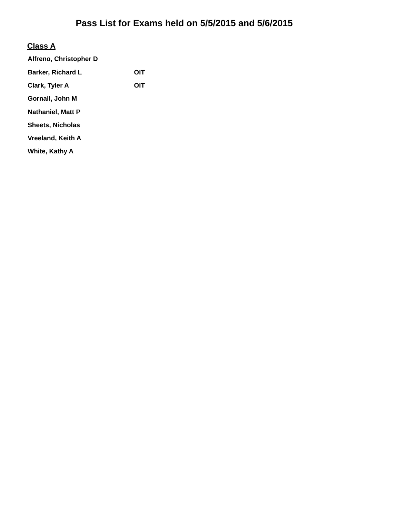# **Class A**

| Alfreno, Christopher D |     |
|------------------------|-----|
| Barker, Richard L      | OIT |
| Clark, Tyler A         | OIT |
| Gornall, John M        |     |
| Nathaniel, Matt P      |     |
| Sheets, Nicholas       |     |
| Vreeland, Keith A      |     |
| White, Kathy A         |     |
|                        |     |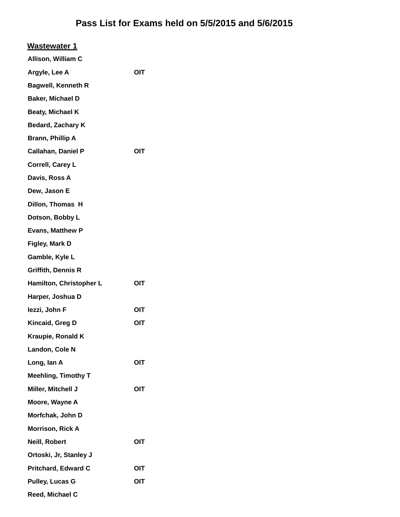| <b>Wastewater 1</b>        |     |
|----------------------------|-----|
| Allison, William C         |     |
| Argyle, Lee A              | OIT |
| <b>Bagwell, Kenneth R</b>  |     |
| Baker, Michael D           |     |
| Beaty, Michael K           |     |
| <b>Bedard, Zachary K</b>   |     |
| Brann, Phillip A           |     |
| <b>Callahan, Daniel P</b>  | OIT |
| Correll, Carey L           |     |
| Davis, Ross A              |     |
| Dew, Jason E               |     |
| Dillon, Thomas H           |     |
| Dotson, Bobby L            |     |
| <b>Evans, Matthew P</b>    |     |
| Figley, Mark D             |     |
| Gamble, Kyle L             |     |
| <b>Griffith, Dennis R</b>  |     |
| Hamilton, Christopher L    | OIT |
| Harper, Joshua D           |     |
| lezzi, John F              | OIT |
| Kincaid, Greg D            | OIT |
| Kraupie, Ronald K          |     |
| Landon, Cole N             |     |
| Long, lan A                | OIT |
| <b>Meehling, Timothy T</b> |     |
| Miller, Mitchell J         | OIT |
| Moore, Wayne A             |     |
| Morfchak, John D           |     |
| <b>Morrison, Rick A</b>    |     |
| Neill, Robert              | OIT |
| Ortoski, Jr, Stanley J     |     |
| <b>Pritchard, Edward C</b> | OIT |
| <b>Pulley, Lucas G</b>     | OIT |
| Reed, Michael C            |     |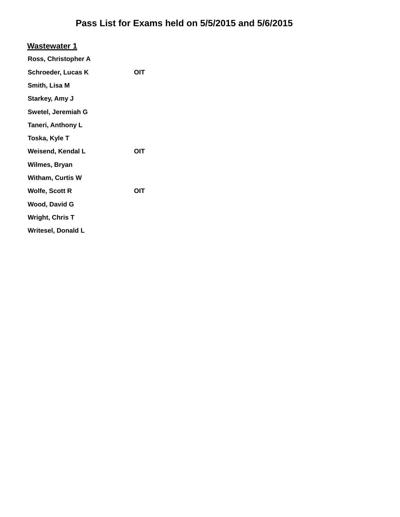| <b>Wastewater 1</b>       |            |
|---------------------------|------------|
| Ross, Christopher A       |            |
| <b>Schroeder, Lucas K</b> | OIT        |
| Smith, Lisa M             |            |
| Starkey, Amy J            |            |
| Swetel, Jeremiah G        |            |
| <b>Taneri, Anthony L</b>  |            |
| Toska, Kyle T             |            |
| <b>Weisend, Kendal L</b>  | OIT        |
| Wilmes, Bryan             |            |
| <b>Witham, Curtis W</b>   |            |
| <b>Wolfe, Scott R</b>     | <b>OIT</b> |
| <b>Wood, David G</b>      |            |
| <b>Wright, Chris T</b>    |            |
| <b>Writesel, Donald L</b> |            |
|                           |            |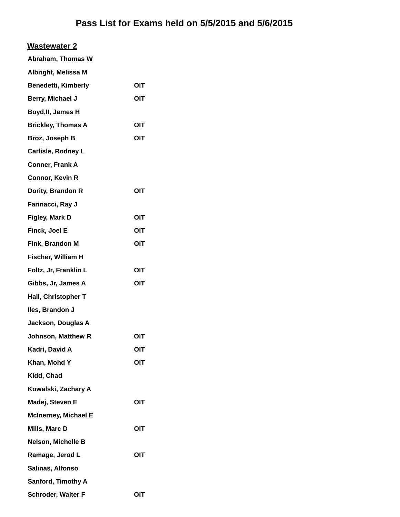| <b>Wastewater 2</b>         |            |
|-----------------------------|------------|
| Abraham, Thomas W           |            |
| Albright, Melissa M         |            |
| <b>Benedetti, Kimberly</b>  | OIT        |
| Berry, Michael J            | OIT        |
| Boyd, II, James H           |            |
| <b>Brickley, Thomas A</b>   | OIT        |
| Broz, Joseph B              | OIT        |
| Carlisle, Rodney L          |            |
| <b>Conner, Frank A</b>      |            |
| <b>Connor, Kevin R</b>      |            |
| Dority, Brandon R           | <b>OIT</b> |
| Farinacci, Ray J            |            |
| Figley, Mark D              | OIT        |
| Finck, Joel E               | OIT        |
| Fink, Brandon M             | OIT        |
| Fischer, William H          |            |
| Foltz, Jr, Franklin L       | OIT        |
| Gibbs, Jr, James A          | OIT        |
| Hall, Christopher T         |            |
| Iles, Brandon J             |            |
| Jackson, Douglas A          |            |
| <b>Johnson, Matthew R</b>   | OIT        |
| Kadri, David A              | OIT        |
| Khan, Mohd Y                | OIT        |
| Kidd, Chad                  |            |
| Kowalski, Zachary A         |            |
| Madej, Steven E             | OIT        |
| <b>McInerney, Michael E</b> |            |
| Mills, Marc D               | OIT        |
| Nelson, Michelle B          |            |
| Ramage, Jerod L             | OIT        |
| Salinas, Alfonso            |            |
| <b>Sanford, Timothy A</b>   |            |
| Schroder, Walter F          | OIT        |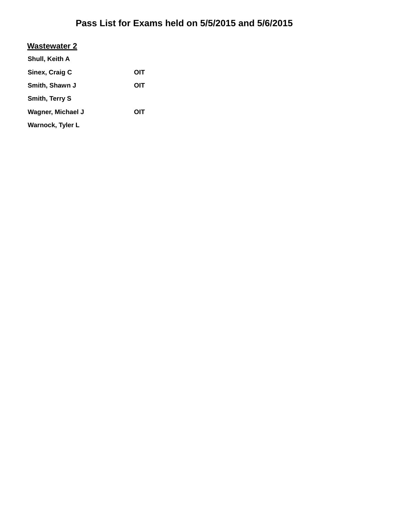#### **Wastewater 2**

| Shull, Keith A          |     |
|-------------------------|-----|
| Sinex, Craig C          | OIT |
| Smith, Shawn J          | ОІТ |
| <b>Smith, Terry S</b>   |     |
| Wagner, Michael J       | OIT |
| <b>Warnock, Tyler L</b> |     |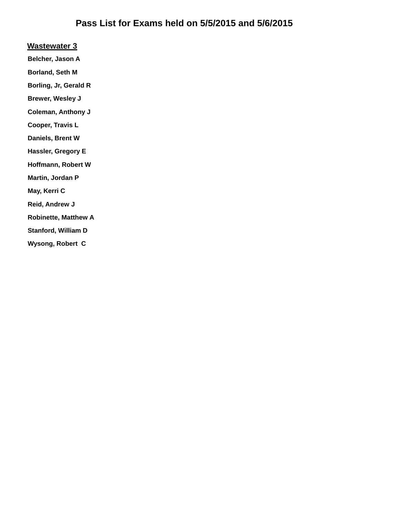#### **Wastewater 3**

**Belcher, Jason A**

**Borland, Seth M**

**Borling, Jr, Gerald R**

**Brewer, Wesley J**

**Coleman, Anthony J**

**Cooper, Travis L**

**Daniels, Brent W**

**Hassler, Gregory E**

**Hoffmann, Robert W**

**Martin, Jordan P**

**May, Kerri C**

**Reid, Andrew J**

**Robinette, Matthew A**

**Stanford, William D**

**Wysong, Robert C**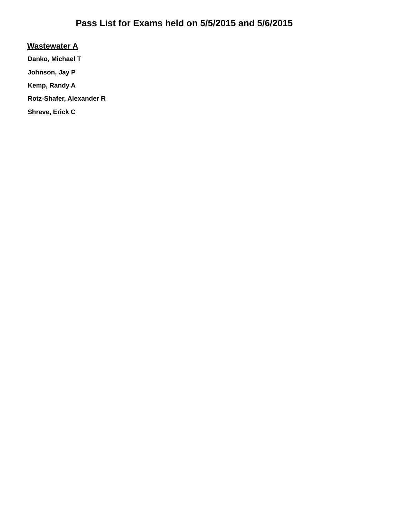#### **Wastewater A**

**Danko, Michael T**

**Johnson, Jay P**

**Kemp, Randy A**

**Rotz-Shafer, Alexander R**

**Shreve, Erick C**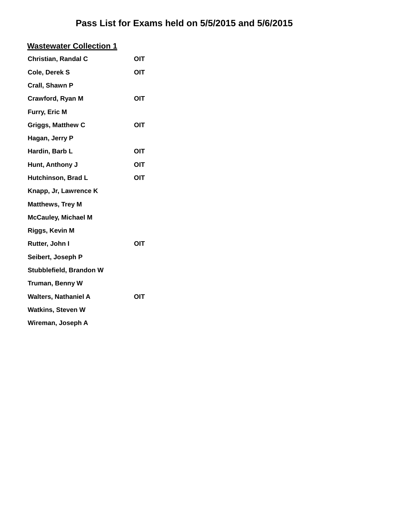| <b>Wastewater Collection 1</b> |     |
|--------------------------------|-----|
| <b>Christian, Randal C</b>     | OIT |
| Cole, Derek S                  | OIT |
| Crall, Shawn P                 |     |
| Crawford, Ryan M               | OIT |
| Furry, Eric M                  |     |
| <b>Griggs, Matthew C</b>       | OIT |
| Hagan, Jerry P                 |     |
| Hardin, Barb L                 | OIT |
| Hunt, Anthony J                | OIT |
| Hutchinson, Brad L             | OIT |
| Knapp, Jr, Lawrence K          |     |
| <b>Matthews, Trey M</b>        |     |
| <b>McCauley, Michael M</b>     |     |
| Riggs, Kevin M                 |     |
| Rutter, John I                 | OIT |
| Seibert, Joseph P              |     |
| Stubblefield, Brandon W        |     |
| Truman, Benny W                |     |
| <b>Walters, Nathaniel A</b>    | OIT |
| <b>Watkins, Steven W</b>       |     |
| Wireman, Joseph A              |     |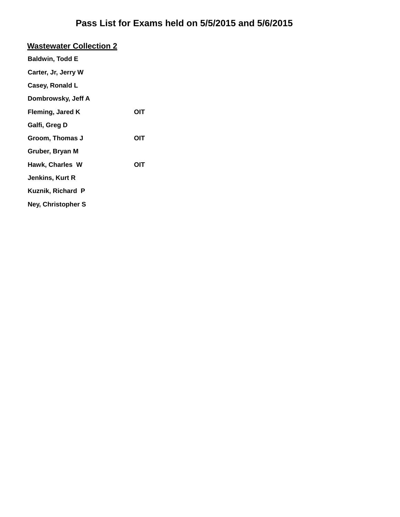#### **Wastewater Collection 2 Baldwin, Todd E**

| Carter, Jr, Jerry W |  |
|---------------------|--|
| Casey, Ronald L     |  |

**Dombrowsky, Jeff A**

Fleming, Jared K **OIT** 

**Galfi, Greg D**

Groom, Thomas J **OIT** 

**Gruber, Bryan M**

**Hawk, Charles W OIT**

**Jenkins, Kurt R**

**Kuznik, Richard P**

**Ney, Christopher S**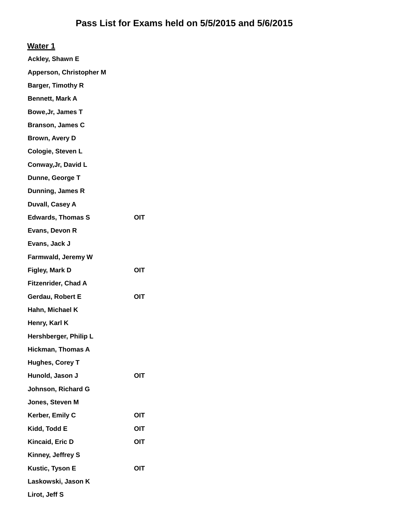| <b>Ackley, Shawn E</b>         |     |
|--------------------------------|-----|
| <b>Apperson, Christopher M</b> |     |
| <b>Barger, Timothy R</b>       |     |
| <b>Bennett, Mark A</b>         |     |
| Bowe, Jr, James T              |     |
| <b>Branson, James C</b>        |     |
| <b>Brown, Avery D</b>          |     |
| Cologie, Steven L              |     |
| Conway, Jr, David L            |     |
| Dunne, George T                |     |
| Dunning, James R               |     |
| Duvall, Casey A                |     |
| <b>Edwards, Thomas S</b>       | OIT |
| Evans, Devon R                 |     |
| Evans, Jack J                  |     |
| Farmwald, Jeremy W             |     |
| Figley, Mark D                 | OIT |
| <b>Fitzenrider, Chad A</b>     |     |
| Gerdau, Robert E               | OIT |
| Hahn, Michael K                |     |
| Henry, Karl K                  |     |
| Hershberger, Philip L          |     |
| <b>Hickman, Thomas A</b>       |     |
| <b>Hughes, Corey T</b>         |     |
| Hunold, Jason J                | OIT |
| Johnson, Richard G             |     |
| Jones, Steven M                |     |
| Kerber, Emily C                | OIT |
| Kidd, Todd E                   | ΟΙΤ |
| Kincaid, Eric D                | OIT |
| Kinney, Jeffrey S              |     |
| Kustic, Tyson E                | OIT |
| Laskowski, Jason K             |     |

**Lirot, Jeff S**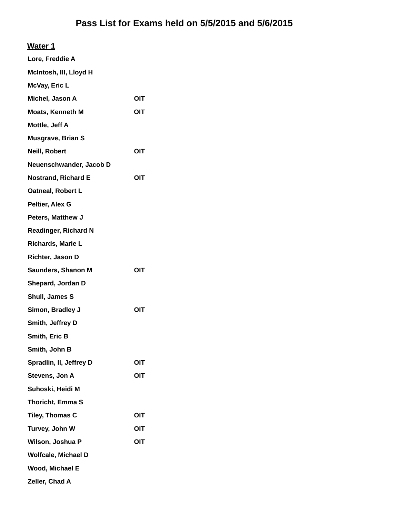### **Water 1**

| Lore, Freddie A             |     |
|-----------------------------|-----|
| McIntosh, III, Lloyd H      |     |
| McVay, Eric L               |     |
| Michel, Jason A             | OIT |
| <b>Moats, Kenneth M</b>     | OIT |
| Mottle, Jeff A              |     |
| Musgrave, Brian S           |     |
| Neill, Robert               | OIT |
| Neuenschwander, Jacob D     |     |
| <b>Nostrand, Richard E</b>  | OIT |
| Oatneal, Robert L           |     |
| Peltier, Alex G             |     |
| Peters, Matthew J           |     |
| <b>Readinger, Richard N</b> |     |
| Richards, Marie L           |     |
| Richter, Jason D            |     |
| Saunders, Shanon M          | OIT |
| Shepard, Jordan D           |     |
| Shull, James S              |     |
| Simon, Bradley J            | OIT |
| Smith, Jeffrey D            |     |
| Smith, Eric B               |     |
| Smith, John B               |     |
| Spradlin, II, Jeffrey D     | OIT |
| Stevens, Jon A              | OIT |
| Suhoski, Heidi M            |     |
| Thoricht, Emma S            |     |
| Tiley, Thomas C             | OIT |
| Turvey, John W              | OIT |
| Wilson, Joshua P            | OIT |
| Wolfcale, Michael D         |     |
| Wood, Michael E             |     |
| Zeller, Chad A              |     |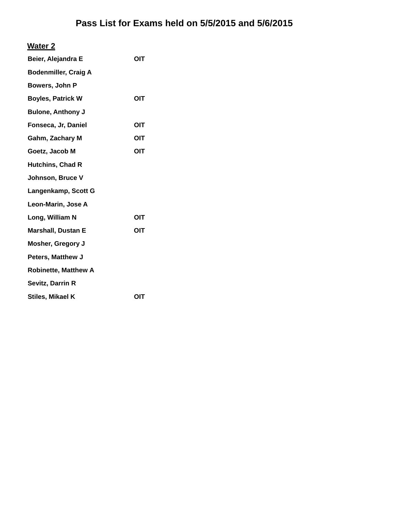### **Water 2**

| Beier, Alejandra E          | OIT        |
|-----------------------------|------------|
| <b>Bodenmiller, Craig A</b> |            |
| Bowers, John P              |            |
| <b>Boyles, Patrick W</b>    | OIT        |
| <b>Bulone, Anthony J</b>    |            |
| Fonseca, Jr, Daniel         | OIT        |
| Gahm, Zachary M             | OIT        |
| Goetz, Jacob M              | <b>OIT</b> |
| <b>Hutchins, Chad R</b>     |            |
| Johnson, Bruce V            |            |
| Langenkamp, Scott G         |            |
| Leon-Marin, Jose A          |            |
| Long, William N             | OIT        |
| <b>Marshall, Dustan E</b>   | OIT        |
| <b>Mosher, Gregory J</b>    |            |
| <b>Peters, Matthew J</b>    |            |
| <b>Robinette, Matthew A</b> |            |
| Sevitz, Darrin R            |            |
| Stiles, Mikael K            | OIT        |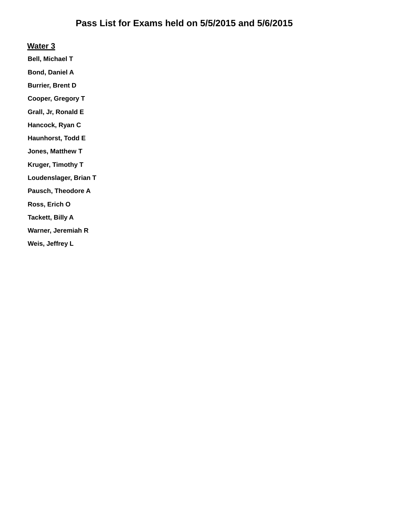#### **Water 3**

**Bell, Michael T**

**Bond, Daniel A**

**Burrier, Brent D**

**Cooper, Gregory T**

**Grall, Jr, Ronald E**

**Hancock, Ryan C**

**Haunhorst, Todd E**

**Jones, Matthew T**

**Kruger, Timothy T**

**Loudenslager, Brian T**

**Pausch, Theodore A**

**Ross, Erich O**

**Tackett, Billy A**

**Warner, Jeremiah R**

**Weis, Jeffrey L**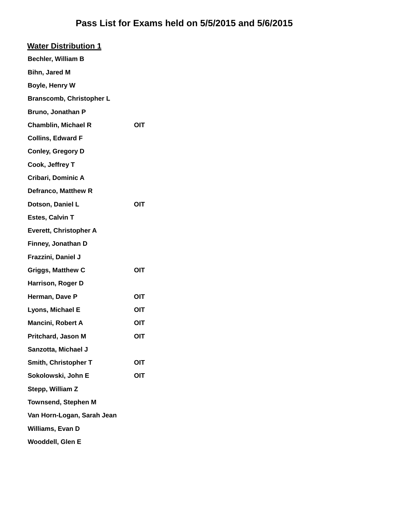| <b>Water Distribution 1</b>     |            |
|---------------------------------|------------|
| Bechler, William B              |            |
| <b>Bihn, Jared M</b>            |            |
| Boyle, Henry W                  |            |
| <b>Branscomb, Christopher L</b> |            |
| Bruno, Jonathan P               |            |
| <b>Chamblin, Michael R</b>      | OIT        |
| <b>Collins, Edward F</b>        |            |
| <b>Conley, Gregory D</b>        |            |
| Cook, Jeffrey T                 |            |
| Cribari, Dominic A              |            |
| Defranco, Matthew R             |            |
| Dotson, Daniel L                | OIT        |
| Estes, Calvin T                 |            |
| <b>Everett, Christopher A</b>   |            |
| Finney, Jonathan D              |            |
| Frazzini, Daniel J              |            |
| <b>Griggs, Matthew C</b>        | OIT        |
| Harrison, Roger D               |            |
| Herman, Dave P                  | OIT        |
| Lyons, Michael E                | OIT        |
| Mancini, Robert A               | OIT        |
| Pritchard, Jason M              | <b>OIT</b> |
| Sanzotta, Michael J             |            |
| Smith, Christopher T            | OIT        |
| Sokolowski, John E              | OIT        |
| Stepp, William Z                |            |
| <b>Townsend, Stephen M</b>      |            |
| Van Horn-Logan, Sarah Jean      |            |
| Williams, Evan D                |            |
| <b>Wooddell, Glen E</b>         |            |